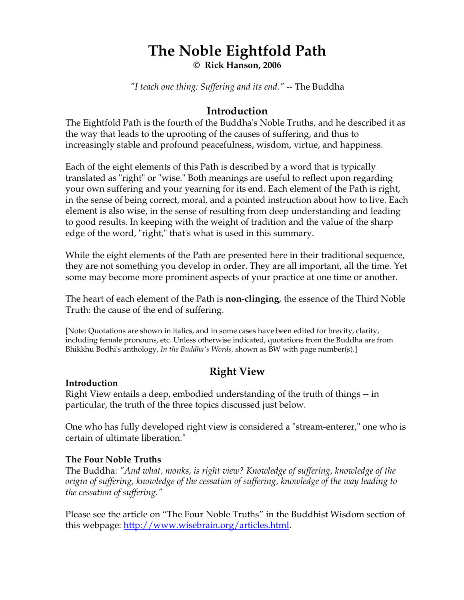# **The Noble Eightfold Path**

**© Rick Hanson, 2006** 

*"I teach one thing: Suffering and its end."* -- The Buddha

## **Introduction**

The Eightfold Path is the fourth of the Buddha's Noble Truths, and he described it as the way that leads to the uprooting of the causes of suffering, and thus to increasingly stable and profound peacefulness, wisdom, virtue, and happiness.

Each of the eight elements of this Path is described by a word that is typically translated as "right" or "wise." Both meanings are useful to reflect upon regarding your own suffering and your yearning for its end. Each element of the Path is right, in the sense of being correct, moral, and a pointed instruction about how to live. Each element is also <u>wise</u>, in the sense of resulting from deep understanding and leading to good results. In keeping with the weight of tradition and the value of the sharp edge of the word, "right," that's what is used in this summary.

While the eight elements of the Path are presented here in their traditional sequence, they are not something you develop in order. They are all important, all the time. Yet some may become more prominent aspects of your practice at one time or another.

The heart of each element of the Path is **non-clinging**, the essence of the Third Noble Truth: the cause of the end of suffering.

[Note: Quotations are shown in italics, and in some cases have been edited for brevity, clarity, including female pronouns, etc. Unless otherwise indicated, quotations from the Buddha are from Bhikkhu Bodhi's anthology, *In the Buddha's Words,* shown as BW with page number(s).]

# **Right View**

## **Introduction**

Right View entails a deep, embodied understanding of the truth of things -- in particular, the truth of the three topics discussed just below.

One who has fully developed right view is considered a "stream-enterer," one who is certain of ultimate liberation."

## **The Four Noble Truths**

The Buddha: *"And what, monks, is right view? Knowledge of suffering, knowledge of the origin of suffering, knowledge of the cessation of suffering, knowledge of the way leading to the cessation of suffering."* 

Please see the article on "The Four Noble Truths" in the Buddhist Wisdom section of this webpage: http://www.wisebrain.org/articles.html.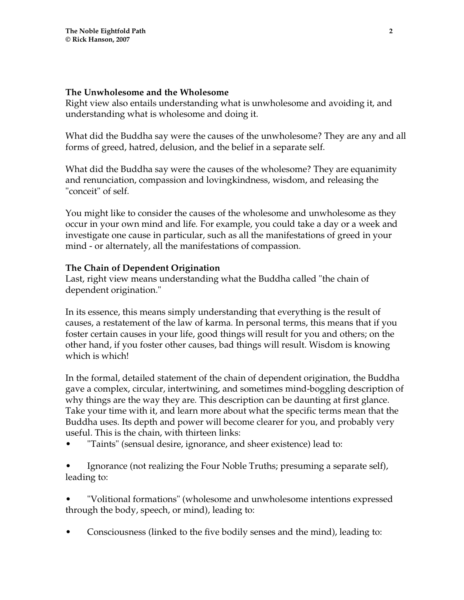#### **The Unwholesome and the Wholesome**

Right view also entails understanding what is unwholesome and avoiding it, and understanding what is wholesome and doing it.

What did the Buddha say were the causes of the unwholesome? They are any and all forms of greed, hatred, delusion, and the belief in a separate self.

What did the Buddha say were the causes of the wholesome? They are equanimity and renunciation, compassion and lovingkindness, wisdom, and releasing the "conceit" of self.

You might like to consider the causes of the wholesome and unwholesome as they occur in your own mind and life. For example, you could take a day or a week and investigate one cause in particular, such as all the manifestations of greed in your mind - or alternately, all the manifestations of compassion.

## **The Chain of Dependent Origination**

Last, right view means understanding what the Buddha called "the chain of dependent origination."

In its essence, this means simply understanding that everything is the result of causes, a restatement of the law of karma. In personal terms, this means that if you foster certain causes in your life, good things will result for you and others; on the other hand, if you foster other causes, bad things will result. Wisdom is knowing which is which!

In the formal, detailed statement of the chain of dependent origination, the Buddha gave a complex, circular, intertwining, and sometimes mind-boggling description of why things are the way they are. This description can be daunting at first glance. Take your time with it, and learn more about what the specific terms mean that the Buddha uses. Its depth and power will become clearer for you, and probably very useful. This is the chain, with thirteen links:

• "Taints" (sensual desire, ignorance, and sheer existence) lead to:

• Ignorance (not realizing the Four Noble Truths; presuming a separate self), leading to:

• "Volitional formations" (wholesome and unwholesome intentions expressed through the body, speech, or mind), leading to:

• Consciousness (linked to the five bodily senses and the mind), leading to: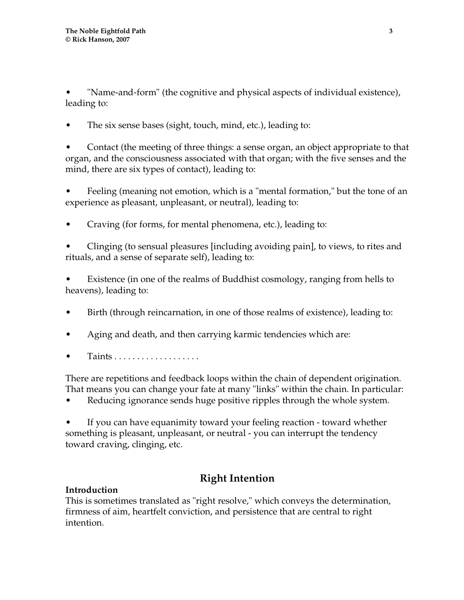• "Name-and-form" (the cognitive and physical aspects of individual existence), leading to:

The six sense bases (sight, touch, mind, etc.), leading to:

• Contact (the meeting of three things: a sense organ, an object appropriate to that organ, and the consciousness associated with that organ; with the five senses and the mind, there are six types of contact), leading to:

• Feeling (meaning not emotion, which is a "mental formation," but the tone of an experience as pleasant, unpleasant, or neutral), leading to:

• Craving (for forms, for mental phenomena, etc.), leading to:

• Clinging (to sensual pleasures [including avoiding pain], to views, to rites and rituals, and a sense of separate self), leading to:

• Existence (in one of the realms of Buddhist cosmology, ranging from hells to heavens), leading to:

- Birth (through reincarnation, in one of those realms of existence), leading to:
- Aging and death, and then carrying karmic tendencies which are:
- Taints . . . . . . . . . . . . . . . . . . .

There are repetitions and feedback loops within the chain of dependent origination. That means you can change your fate at many "links" within the chain. In particular:

• Reducing ignorance sends huge positive ripples through the whole system.

• If you can have equanimity toward your feeling reaction - toward whether something is pleasant, unpleasant, or neutral - you can interrupt the tendency toward craving, clinging, etc.

# **Right Intention**

## **Introduction**

This is sometimes translated as "right resolve," which conveys the determination, firmness of aim, heartfelt conviction, and persistence that are central to right intention.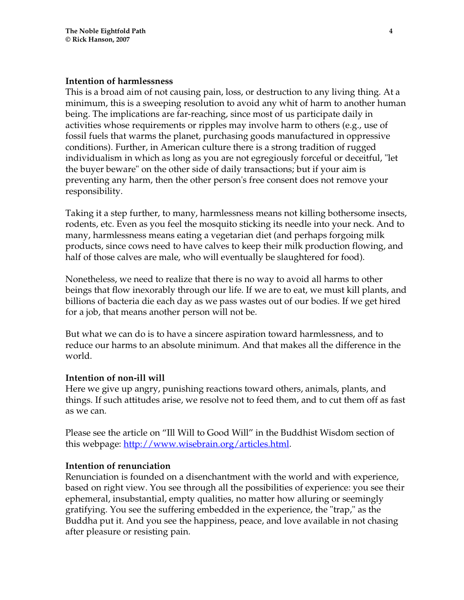#### **Intention of harmlessness**

This is a broad aim of not causing pain, loss, or destruction to any living thing. At a minimum, this is a sweeping resolution to avoid any whit of harm to another human being. The implications are far-reaching, since most of us participate daily in activities whose requirements or ripples may involve harm to others (e.g., use of fossil fuels that warms the planet, purchasing goods manufactured in oppressive conditions). Further, in American culture there is a strong tradition of rugged individualism in which as long as you are not egregiously forceful or deceitful, "let the buyer beware" on the other side of daily transactions; but if your aim is preventing any harm, then the other person's free consent does not remove your responsibility.

Taking it a step further, to many, harmlessness means not killing bothersome insects, rodents, etc. Even as you feel the mosquito sticking its needle into your neck. And to many, harmlessness means eating a vegetarian diet (and perhaps forgoing milk products, since cows need to have calves to keep their milk production flowing, and half of those calves are male, who will eventually be slaughtered for food).

Nonetheless, we need to realize that there is no way to avoid all harms to other beings that flow inexorably through our life. If we are to eat, we must kill plants, and billions of bacteria die each day as we pass wastes out of our bodies. If we get hired for a job, that means another person will not be.

But what we can do is to have a sincere aspiration toward harmlessness, and to reduce our harms to an absolute minimum. And that makes all the difference in the world.

#### **Intention of non-ill will**

Here we give up angry, punishing reactions toward others, animals, plants, and things. If such attitudes arise, we resolve not to feed them, and to cut them off as fast as we can.

Please see the article on "Ill Will to Good Will" in the Buddhist Wisdom section of this webpage: <u>http://www.wisebrain.org/articles.html</u>.

## **Intention of renunciation**

Renunciation is founded on a disenchantment with the world and with experience, based on right view. You see through all the possibilities of experience: you see their ephemeral, insubstantial, empty qualities, no matter how alluring or seemingly gratifying. You see the suffering embedded in the experience, the "trap," as the Buddha put it. And you see the happiness, peace, and love available in not chasing after pleasure or resisting pain.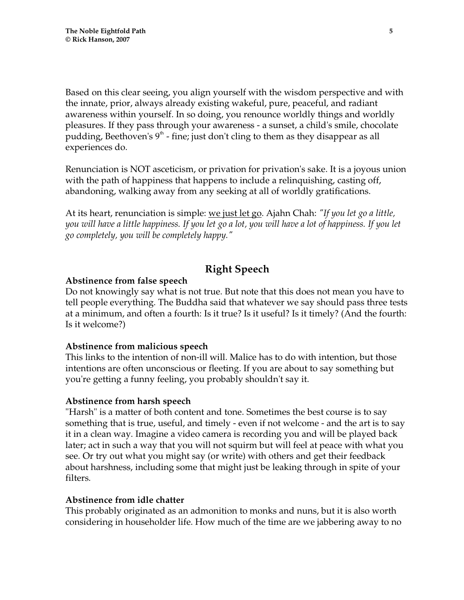Based on this clear seeing, you align yourself with the wisdom perspective and with the innate, prior, always already existing wakeful, pure, peaceful, and radiant awareness within yourself. In so doing, you renounce worldly things and worldly pleasures. If they pass through your awareness - a sunset, a child's smile, chocolate pudding, Beethoven's  $9<sup>th</sup>$  - fine; just don't cling to them as they disappear as all experiences do.

Renunciation is NOT asceticism, or privation for privation's sake. It is a joyous union with the path of happiness that happens to include a relinquishing, casting off, abandoning, walking away from any seeking at all of worldly gratifications.

At its heart, renunciation is simple: we just let go. Ajahn Chah: *"If you let go a little, you will have a little happiness. If you let go a lot, you will have a lot of happiness. If you let go completely, you will be completely happy."* 

# **Right Speech**

## **Abstinence from false speech**

Do not knowingly say what is not true. But note that this does not mean you have to tell people everything. The Buddha said that whatever we say should pass three tests at a minimum, and often a fourth: Is it true? Is it useful? Is it timely? (And the fourth: Is it welcome?)

## **Abstinence from malicious speech**

This links to the intention of non-ill will. Malice has to do with intention, but those intentions are often unconscious or fleeting. If you are about to say something but you're getting a funny feeling, you probably shouldn't say it.

## **Abstinence from harsh speech**

"Harsh" is a matter of both content and tone. Sometimes the best course is to say something that is true, useful, and timely - even if not welcome - and the art is to say it in a clean way. Imagine a video camera is recording you and will be played back later; act in such a way that you will not squirm but will feel at peace with what you see. Or try out what you might say (or write) with others and get their feedback about harshness, including some that might just be leaking through in spite of your filters.

## **Abstinence from idle chatter**

This probably originated as an admonition to monks and nuns, but it is also worth considering in householder life. How much of the time are we jabbering away to no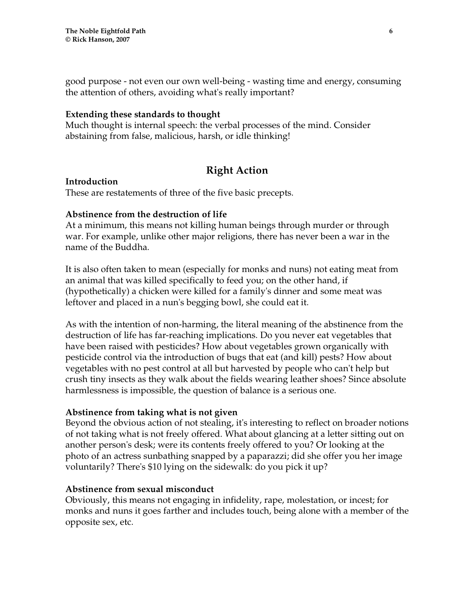good purpose - not even our own well-being - wasting time and energy, consuming the attention of others, avoiding what's really important?

#### **Extending these standards to thought**

Much thought is internal speech: the verbal processes of the mind. Consider abstaining from false, malicious, harsh, or idle thinking!

# **Right Action**

#### **Introduction**

These are restatements of three of the five basic precepts.

## **Abstinence from the destruction of life**

At a minimum, this means not killing human beings through murder or through war. For example, unlike other major religions, there has never been a war in the name of the Buddha.

It is also often taken to mean (especially for monks and nuns) not eating meat from an animal that was killed specifically to feed you; on the other hand, if (hypothetically) a chicken were killed for a family's dinner and some meat was leftover and placed in a nun's begging bowl, she could eat it.

As with the intention of non-harming, the literal meaning of the abstinence from the destruction of life has far-reaching implications. Do you never eat vegetables that have been raised with pesticides? How about vegetables grown organically with pesticide control via the introduction of bugs that eat (and kill) pests? How about vegetables with no pest control at all but harvested by people who can't help but crush tiny insects as they walk about the fields wearing leather shoes? Since absolute harmlessness is impossible, the question of balance is a serious one.

## **Abstinence from taking what is not given**

Beyond the obvious action of not stealing, it's interesting to reflect on broader notions of not taking what is not freely offered. What about glancing at a letter sitting out on another person's desk; were its contents freely offered to you? Or looking at the photo of an actress sunbathing snapped by a paparazzi; did she offer you her image voluntarily? There's \$10 lying on the sidewalk: do you pick it up?

## **Abstinence from sexual misconduct**

Obviously, this means not engaging in infidelity, rape, molestation, or incest; for monks and nuns it goes farther and includes touch, being alone with a member of the opposite sex, etc.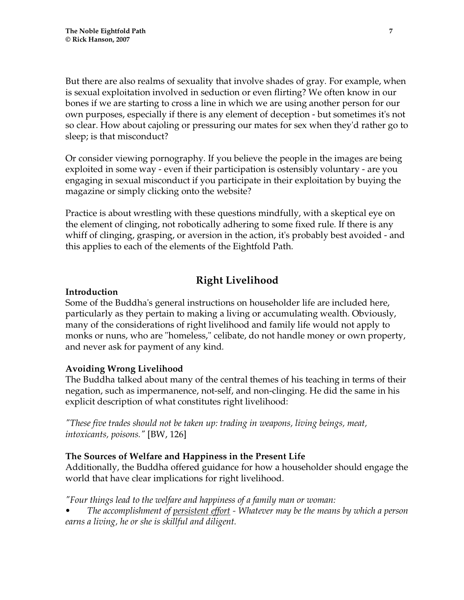But there are also realms of sexuality that involve shades of gray. For example, when is sexual exploitation involved in seduction or even flirting? We often know in our bones if we are starting to cross a line in which we are using another person for our own purposes, especially if there is any element of deception - but sometimes it's not so clear. How about cajoling or pressuring our mates for sex when they'd rather go to sleep; is that misconduct?

Or consider viewing pornography. If you believe the people in the images are being exploited in some way - even if their participation is ostensibly voluntary - are you engaging in sexual misconduct if you participate in their exploitation by buying the magazine or simply clicking onto the website?

Practice is about wrestling with these questions mindfully, with a skeptical eye on the element of clinging, not robotically adhering to some fixed rule. If there is any whiff of clinging, grasping, or aversion in the action, it's probably best avoided - and this applies to each of the elements of the Eightfold Path.

# **Right Livelihood**

## **Introduction**

Some of the Buddha's general instructions on householder life are included here, particularly as they pertain to making a living or accumulating wealth. Obviously, many of the considerations of right livelihood and family life would not apply to monks or nuns, who are "homeless," celibate, do not handle money or own property, and never ask for payment of any kind.

## **Avoiding Wrong Livelihood**

The Buddha talked about many of the central themes of his teaching in terms of their negation, such as impermanence, not-self, and non-clinging. He did the same in his explicit description of what constitutes right livelihood:

*"These five trades should not be taken up: trading in weapons, living beings, meat, intoxicants, poisons."* [BW, 126]

## **The Sources of Welfare and Happiness in the Present Life**

Additionally, the Buddha offered guidance for how a householder should engage the world that have clear implications for right livelihood.

*"Four things lead to the welfare and happiness of a family man or woman:* 

*• The accomplishment of persistent effort - Whatever may be the means by which a person earns a living, he or she is skillful and diligent.*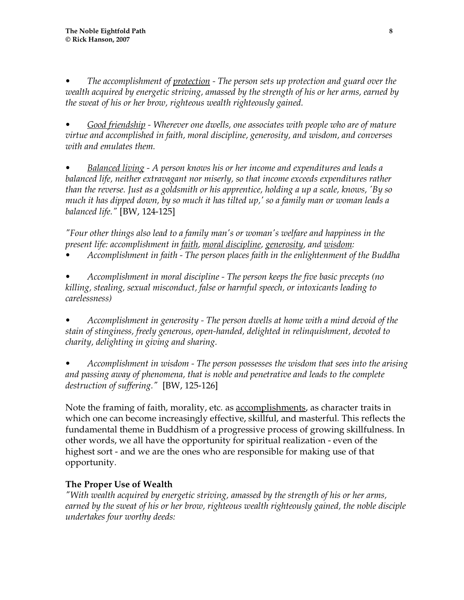*• The accomplishment of protection - The person sets up protection and guard over the wealth acquired by energetic striving, amassed by the strength of his or her arms, earned by the sweat of his or her brow, righteous wealth righteously gained.* 

*• Good friendship - Wherever one dwells, one associates with people who are of mature virtue and accomplished in faith, moral discipline, generosity, and wisdom, and converses with and emulates them.* 

*• Balanced living - A person knows his or her income and expenditures and leads a balanced life, neither extravagant nor miserly, so that income exceeds expenditures rather than the reverse. Just as a goldsmith or his apprentice, holding a up a scale, knows, 'By so much it has dipped down, by so much it has tilted up,' so a family man or woman leads a balanced life."* [BW, 124-125]

*"Four other things also lead to a family man's or woman's welfare and happiness in the present life: accomplishment in faith, moral discipline, generosity, and wisdom:* 

*• Accomplishment in faith - The person places faith in the enlightenment of the Buddha* 

*• Accomplishment in moral discipline - The person keeps the five basic precepts (no killing, stealing, sexual misconduct, false or harmful speech, or intoxicants leading to carelessness)* 

*• Accomplishment in generosity - The person dwells at home with a mind devoid of the stain of stinginess, freely generous, open-handed, delighted in relinquishment, devoted to charity, delighting in giving and sharing.* 

*• Accomplishment in wisdom - The person possesses the wisdom that sees into the arising and passing away of phenomena, that is noble and penetrative and leads to the complete destruction of suffering."* [BW, 125-126]

Note the framing of faith, morality, etc. as **accomplishments**, as character traits in which one can become increasingly effective, skillful, and masterful. This reflects the fundamental theme in Buddhism of a progressive process of growing skillfulness. In other words, we all have the opportunity for spiritual realization - even of the highest sort - and we are the ones who are responsible for making use of that opportunity.

## **The Proper Use of Wealth**

*"With wealth acquired by energetic striving, amassed by the strength of his or her arms, earned by the sweat of his or her brow, righteous wealth righteously gained, the noble disciple undertakes four worthy deeds:*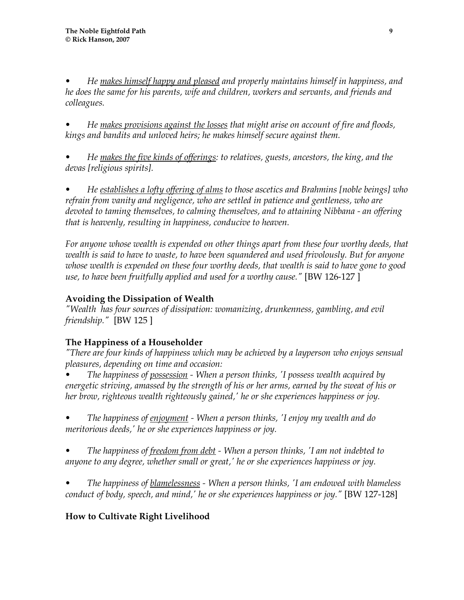*• He makes himself happy and pleased and properly maintains himself in happiness, and he does the same for his parents, wife and children, workers and servants, and friends and colleagues.* 

*• He makes provisions against the losses that might arise on account of fire and floods, kings and bandits and unloved heirs; he makes himself secure against them.* 

*• He makes the five kinds of offerings: to relatives, guests, ancestors, the king, and the devas [religious spirits].* 

*• He establishes a lofty offering of alms to those ascetics and Brahmins [noble beings] who refrain from vanity and negligence, who are settled in patience and gentleness, who are devoted to taming themselves, to calming themselves, and to attaining Nibbana - an offering that is heavenly, resulting in happiness, conducive to heaven.* 

For anyone whose wealth is expended on other things apart from these four worthy deeds, that *wealth is said to have to waste, to have been squandered and used frivolously. But for anyone whose wealth is expended on these four worthy deeds, that wealth is said to have gone to good use, to have been fruitfully applied and used for a worthy cause."* [BW 126-127 ]

# **Avoiding the Dissipation of Wealth**

*"Wealth has four sources of dissipation: womanizing, drunkenness, gambling, and evil friendship."* [BW 125 ]

# **The Happiness of a Householder**

*"There are four kinds of happiness which may be achieved by a layperson who enjoys sensual pleasures, depending on time and occasion:* 

*• The happiness of possession - When a person thinks, 'I possess wealth acquired by energetic striving, amassed by the strength of his or her arms, earned by the sweat of his or her brow, righteous wealth righteously gained,' he or she experiences happiness or joy.* 

*• The happiness of enjoyment - When a person thinks, 'I enjoy my wealth and do meritorious deeds,' he or she experiences happiness or joy.* 

*• The happiness of freedom from debt - When a person thinks, 'I am not indebted to anyone to any degree, whether small or great,' he or she experiences happiness or joy.* 

*• The happiness of blamelessness - When a person thinks, 'I am endowed with blameless conduct of body, speech, and mind,' he or she experiences happiness or joy."* [BW 127-128]

# **How to Cultivate Right Livelihood**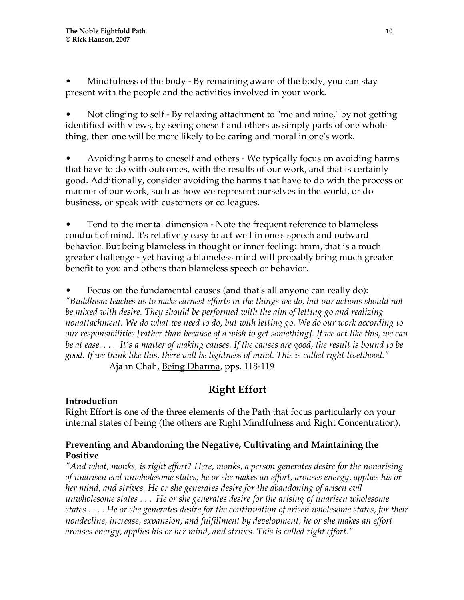• Mindfulness of the body - By remaining aware of the body, you can stay present with the people and the activities involved in your work.

• Not clinging to self - By relaxing attachment to "me and mine," by not getting identified with views, by seeing oneself and others as simply parts of one whole thing, then one will be more likely to be caring and moral in one's work.

• Avoiding harms to oneself and others - We typically focus on avoiding harms that have to do with outcomes, with the results of our work, and that is certainly good. Additionally, consider avoiding the harms that have to do with the process or manner of our work, such as how we represent ourselves in the world, or do business, or speak with customers or colleagues.

• Tend to the mental dimension - Note the frequent reference to blameless conduct of mind. It's relatively easy to act well in one's speech and outward behavior. But being blameless in thought or inner feeling: hmm, that is a much greater challenge - yet having a blameless mind will probably bring much greater benefit to you and others than blameless speech or behavior.

• Focus on the fundamental causes (and that's all anyone can really do): *"Buddhism teaches us to make earnest efforts in the things we do, but our actions should not be mixed with desire. They should be performed with the aim of letting go and realizing nonattachment. We do what we need to do, but with letting go. We do our work according to our responsibilities [rather than because of a wish to get something]. If we act like this, we can be at ease. . . . It's a matter of making causes. If the causes are good, the result is bound to be good. If we think like this, there will be lightness of mind. This is called right livelihood."*  Ajahn Chah, Being Dharma, pps. 118-119

# **Right Effort**

## **Introduction**

Right Effort is one of the three elements of the Path that focus particularly on your internal states of being (the others are Right Mindfulness and Right Concentration).

## **Preventing and Abandoning the Negative, Cultivating and Maintaining the Positive**

*"And what, monks, is right effort? Here, monks, a person generates desire for the nonarising of unarisen evil unwholesome states; he or she makes an effort, arouses energy, applies his or her mind, and strives. He or she generates desire for the abandoning of arisen evil unwholesome states . . . He or she generates desire for the arising of unarisen wholesome states . . . . He or she generates desire for the continuation of arisen wholesome states, for their nondecline, increase, expansion, and fulfillment by development; he or she makes an effort arouses energy, applies his or her mind, and strives. This is called right effort."*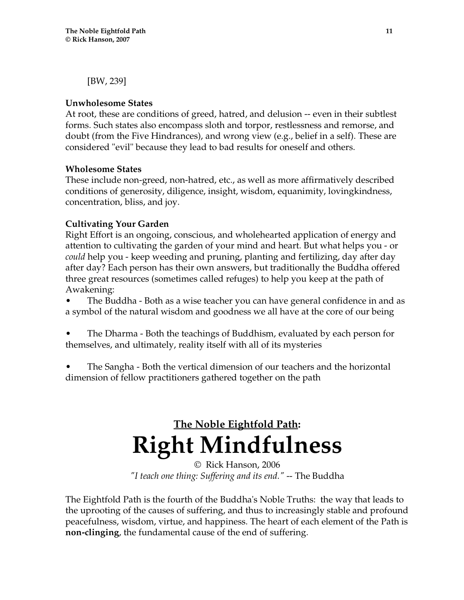[BW, 239]

## **Unwholesome States**

At root, these are conditions of greed, hatred, and delusion -- even in their subtlest forms. Such states also encompass sloth and torpor, restlessness and remorse, and doubt (from the Five Hindrances), and wrong view (e.g., belief in a self). These are considered "evil" because they lead to bad results for oneself and others.

## **Wholesome States**

These include non-greed, non-hatred, etc., as well as more affirmatively described conditions of generosity, diligence, insight, wisdom, equanimity, lovingkindness, concentration, bliss, and joy.

## **Cultivating Your Garden**

Right Effort is an ongoing, conscious, and wholehearted application of energy and attention to cultivating the garden of your mind and heart. But what helps you - or *could* help you - keep weeding and pruning, planting and fertilizing, day after day after day? Each person has their own answers, but traditionally the Buddha offered three great resources (sometimes called refuges) to help you keep at the path of Awakening:

• The Buddha - Both as a wise teacher you can have general confidence in and as a symbol of the natural wisdom and goodness we all have at the core of our being

• The Dharma - Both the teachings of Buddhism, evaluated by each person for themselves, and ultimately, reality itself with all of its mysteries

• The Sangha - Both the vertical dimension of our teachers and the horizontal dimension of fellow practitioners gathered together on the path

# **The Noble Eightfold Path: Right Mindfulness**

© Rick Hanson, 2006 *"I teach one thing: Suffering and its end."* -- The Buddha

The Eightfold Path is the fourth of the Buddha's Noble Truths: the way that leads to the uprooting of the causes of suffering, and thus to increasingly stable and profound peacefulness, wisdom, virtue, and happiness. The heart of each element of the Path is **non-clinging**, the fundamental cause of the end of suffering.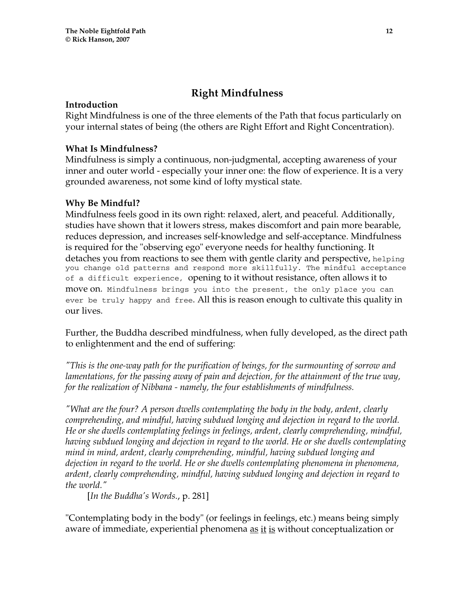# **Right Mindfulness**

## **Introduction**

Right Mindfulness is one of the three elements of the Path that focus particularly on your internal states of being (the others are Right Effort and Right Concentration).

## **What Is Mindfulness?**

Mindfulness is simply a continuous, non-judgmental, accepting awareness of your inner and outer world - especially your inner one: the flow of experience. It is a very grounded awareness, not some kind of lofty mystical state.

## **Why Be Mindful?**

Mindfulness feels good in its own right: relaxed, alert, and peaceful. Additionally, studies have shown that it lowers stress, makes discomfort and pain more bearable, reduces depression, and increases self-knowledge and self-acceptance. Mindfulness is required for the "observing ego" everyone needs for healthy functioning. It detaches you from reactions to see them with gentle clarity and perspective, helping you change old patterns and respond more skillfully. The mindful acceptance of a difficult experience, opening to it without resistance, often allows it to move on. Mindfulness brings you into the present, the only place you can ever be truly happy and free. All this is reason enough to cultivate this quality in our lives.

Further, the Buddha described mindfulness, when fully developed, as the direct path to enlightenment and the end of suffering:

*"This is the one-way path for the purification of beings, for the surmounting of sorrow and lamentations, for the passing away of pain and dejection, for the attainment of the true way, for the realization of Nibbana - namely, the four establishments of mindfulness.* 

*"What are the four? A person dwells contemplating the body in the body, ardent, clearly comprehending, and mindful, having subdued longing and dejection in regard to the world. He or she dwells contemplating feelings in feelings, ardent, clearly comprehending, mindful, having subdued longing and dejection in regard to the world. He or she dwells contemplating mind in mind, ardent, clearly comprehending, mindful, having subdued longing and dejection in regard to the world. He or she dwells contemplating phenomena in phenomena, ardent, clearly comprehending, mindful, having subdued longing and dejection in regard to the world."* 

[*In the Buddha's Words*., p. 281]

"Contemplating body in the body" (or feelings in feelings, etc.) means being simply aware of immediate, experiential phenomena <u>as it is</u> without conceptualization or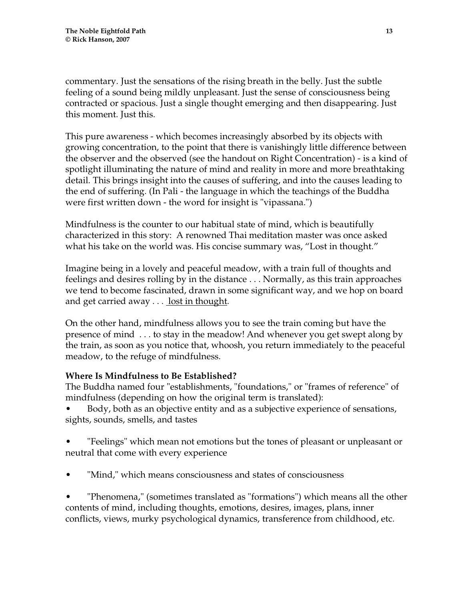commentary. Just the sensations of the rising breath in the belly. Just the subtle feeling of a sound being mildly unpleasant. Just the sense of consciousness being contracted or spacious. Just a single thought emerging and then disappearing. Just this moment. Just this.

This pure awareness - which becomes increasingly absorbed by its objects with growing concentration, to the point that there is vanishingly little difference between the observer and the observed (see the handout on Right Concentration) - is a kind of spotlight illuminating the nature of mind and reality in more and more breathtaking detail. This brings insight into the causes of suffering, and into the causes leading to the end of suffering. (In Pali - the language in which the teachings of the Buddha were first written down - the word for insight is "vipassana.")

Mindfulness is the counter to our habitual state of mind, which is beautifully characterized in this story: A renowned Thai meditation master was once asked what his take on the world was. His concise summary was, "Lost in thought."

Imagine being in a lovely and peaceful meadow, with a train full of thoughts and feelings and desires rolling by in the distance . . . Normally, as this train approaches we tend to become fascinated, drawn in some significant way, and we hop on board and get carried away  $\dots$  lost in thought.

On the other hand, mindfulness allows you to see the train coming but have the presence of mind . . . to stay in the meadow! And whenever you get swept along by the train, as soon as you notice that, whoosh, you return immediately to the peaceful meadow, to the refuge of mindfulness.

## **Where Is Mindfulness to Be Established?**

The Buddha named four "establishments, "foundations," or "frames of reference" of mindfulness (depending on how the original term is translated):

• Body, both as an objective entity and as a subjective experience of sensations, sights, sounds, smells, and tastes

• "Feelings" which mean not emotions but the tones of pleasant or unpleasant or neutral that come with every experience

"Mind," which means consciousness and states of consciousness

• "Phenomena," (sometimes translated as "formations") which means all the other contents of mind, including thoughts, emotions, desires, images, plans, inner conflicts, views, murky psychological dynamics, transference from childhood, etc.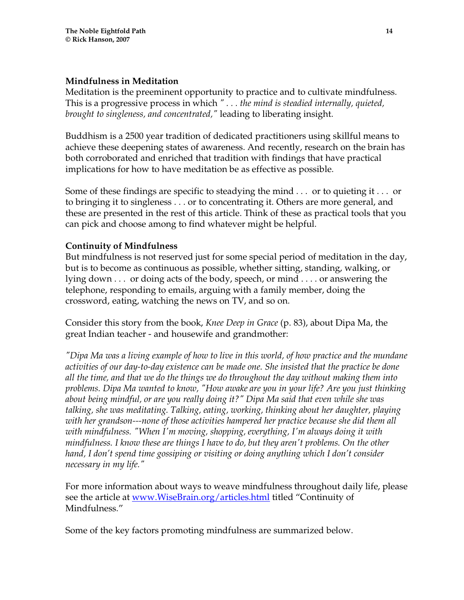## **Mindfulness in Meditation**

Meditation is the preeminent opportunity to practice and to cultivate mindfulness. This is a progressive process in which *" . . . the mind is steadied internally, quieted, brought to singleness, and concentrated,"* leading to liberating insight.

Buddhism is a 2500 year tradition of dedicated practitioners using skillful means to achieve these deepening states of awareness. And recently, research on the brain has both corroborated and enriched that tradition with findings that have practical implications for how to have meditation be as effective as possible.

Some of these findings are specific to steadying the mind . . . or to quieting it . . . or to bringing it to singleness . . . or to concentrating it. Others are more general, and these are presented in the rest of this article. Think of these as practical tools that you can pick and choose among to find whatever might be helpful.

## **Continuity of Mindfulness**

But mindfulness is not reserved just for some special period of meditation in the day, but is to become as continuous as possible, whether sitting, standing, walking, or lying down . . . or doing acts of the body, speech, or mind . . . . or answering the telephone, responding to emails, arguing with a family member, doing the crossword, eating, watching the news on TV, and so on.

Consider this story from the book, *Knee Deep in Grace* (p. 83), about Dipa Ma, the great Indian teacher - and housewife and grandmother:

*"Dipa Ma was a living example of how to live in this world, of how practice and the mundane activities of our day-to-day existence can be made one. She insisted that the practice be done all the time, and that we do the things we do throughout the day without making them into problems. Dipa Ma wanted to know, "How awake are you in your life? Are you just thinking about being mindful, or are you really doing it?" Dipa Ma said that even while she was talking, she was meditating. Talking, eating, working, thinking about her daughter, playing with her grandson---none of those activities hampered her practice because she did them all with mindfulness. "When I'm moving, shopping, everything, I'm always doing it with mindfulness. I know these are things I have to do, but they aren't problems. On the other hand, I don't spend time gossiping or visiting or doing anything which I don't consider necessary in my life."* 

For more information about ways to weave mindfulness throughout daily life, please see the article at www.WiseBrain.org/articles.html titled "Continuity of Mindfulness."

Some of the key factors promoting mindfulness are summarized below.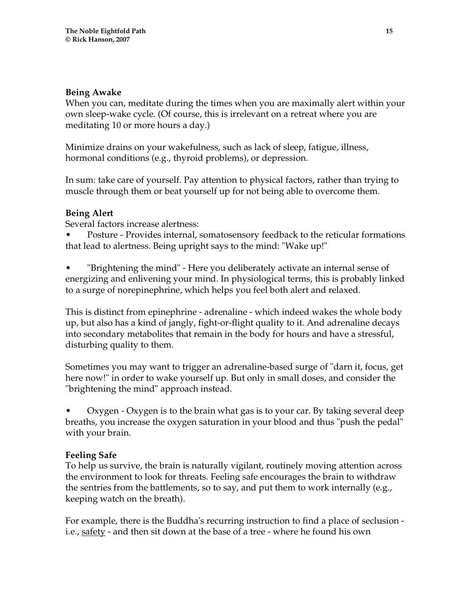## **Being Awake**

When you can, meditate during the times when you are maximally alert within your own sleep-wake cycle. (Of course, this is irrelevant on a retreat where you are meditating 10 or more hours a day.)

Minimize drains on your wakefulness, such as lack of sleep, fatigue, illness, hormonal conditions (e.g., thyroid problems), or depression.

In sum: take care of yourself. Pay attention to physical factors, rather than trying to muscle through them or beat yourself up for not being able to overcome them.

## **Being Alert**

Several factors increase alertness:

• Posture - Provides internal, somatosensory feedback to the reticular formations that lead to alertness. Being upright says to the mind: "Wake up!"

• "Brightening the mind" - Here you deliberately activate an internal sense of energizing and enlivening your mind. In physiological terms, this is probably linked to a surge of norepinephrine, which helps you feel both alert and relaxed.

This is distinct from epinephrine - adrenaline - which indeed wakes the whole body up, but also has a kind of jangly, fight-or-flight quality to it. And adrenaline decays into secondary metabolites that remain in the body for hours and have a stressful, disturbing quality to them.

Sometimes you may want to trigger an adrenaline-based surge of "darn it, focus, get here now!" in order to wake yourself up. But only in small doses, and consider the "brightening the mind" approach instead.

• Oxygen - Oxygen is to the brain what gas is to your car. By taking several deep breaths, you increase the oxygen saturation in your blood and thus "push the pedal" with your brain.

## **Feeling Safe**

To help us survive, the brain is naturally vigilant, routinely moving attention across the environment to look for threats. Feeling safe encourages the brain to withdraw the sentries from the battlements, so to say, and put them to work internally (e.g., keeping watch on the breath).

For example, there is the Buddha's recurring instruction to find a place of seclusion i.e., <u>safety</u> - and then sit down at the base of a tree - where he found his own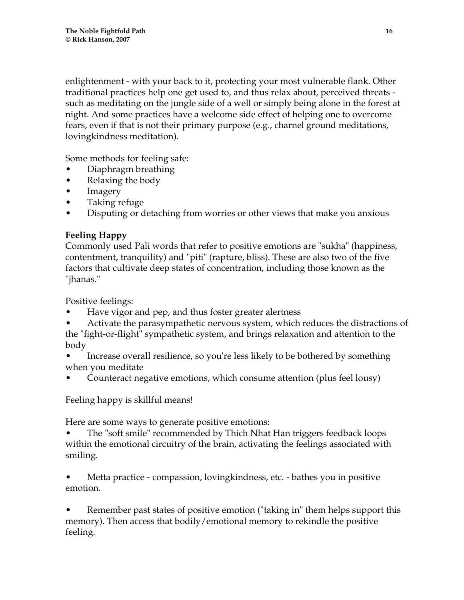enlightenment - with your back to it, protecting your most vulnerable flank. Other traditional practices help one get used to, and thus relax about, perceived threats such as meditating on the jungle side of a well or simply being alone in the forest at night. And some practices have a welcome side effect of helping one to overcome fears, even if that is not their primary purpose (e.g., charnel ground meditations, lovingkindness meditation).

Some methods for feeling safe:

- Diaphragm breathing
- Relaxing the body
- Imagery
- Taking refuge
- Disputing or detaching from worries or other views that make you anxious

## **Feeling Happy**

Commonly used Pali words that refer to positive emotions are "sukha" (happiness, contentment, tranquility) and "piti" (rapture, bliss). These are also two of the five factors that cultivate deep states of concentration, including those known as the "jhanas."

Positive feelings:

- Have vigor and pep, and thus foster greater alertness
- Activate the parasympathetic nervous system, which reduces the distractions of the "fight-or-flight" sympathetic system, and brings relaxation and attention to the body
- Increase overall resilience, so you're less likely to be bothered by something when you meditate
- Counteract negative emotions, which consume attention (plus feel lousy)

Feeling happy is skillful means!

Here are some ways to generate positive emotions:

• The "soft smile" recommended by Thich Nhat Han triggers feedback loops within the emotional circuitry of the brain, activating the feelings associated with smiling.

• Metta practice - compassion, lovingkindness, etc. - bathes you in positive emotion.

• Remember past states of positive emotion ("taking in" them helps support this memory). Then access that bodily/emotional memory to rekindle the positive feeling.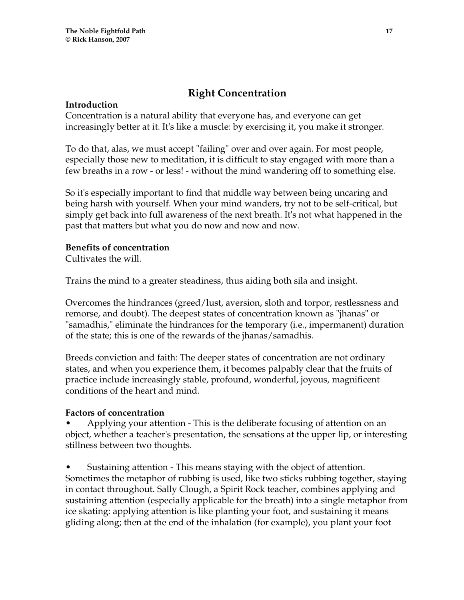# **Right Concentration**

## **Introduction**

Concentration is a natural ability that everyone has, and everyone can get increasingly better at it. It's like a muscle: by exercising it, you make it stronger.

To do that, alas, we must accept "failing" over and over again. For most people, especially those new to meditation, it is difficult to stay engaged with more than a few breaths in a row - or less! - without the mind wandering off to something else.

So it's especially important to find that middle way between being uncaring and being harsh with yourself. When your mind wanders, try not to be self-critical, but simply get back into full awareness of the next breath. It's not what happened in the past that matters but what you do now and now and now.

## **Benefits of concentration**

Cultivates the will.

Trains the mind to a greater steadiness, thus aiding both sila and insight.

Overcomes the hindrances (greed/lust, aversion, sloth and torpor, restlessness and remorse, and doubt). The deepest states of concentration known as "jhanas" or "samadhis," eliminate the hindrances for the temporary (i.e., impermanent) duration of the state; this is one of the rewards of the jhanas/samadhis.

Breeds conviction and faith: The deeper states of concentration are not ordinary states, and when you experience them, it becomes palpably clear that the fruits of practice include increasingly stable, profound, wonderful, joyous, magnificent conditions of the heart and mind.

## **Factors of concentration**

• Applying your attention - This is the deliberate focusing of attention on an object, whether a teacher's presentation, the sensations at the upper lip, or interesting stillness between two thoughts.

• Sustaining attention - This means staying with the object of attention. Sometimes the metaphor of rubbing is used, like two sticks rubbing together, staying in contact throughout. Sally Clough, a Spirit Rock teacher, combines applying and sustaining attention (especially applicable for the breath) into a single metaphor from ice skating: applying attention is like planting your foot, and sustaining it means gliding along; then at the end of the inhalation (for example), you plant your foot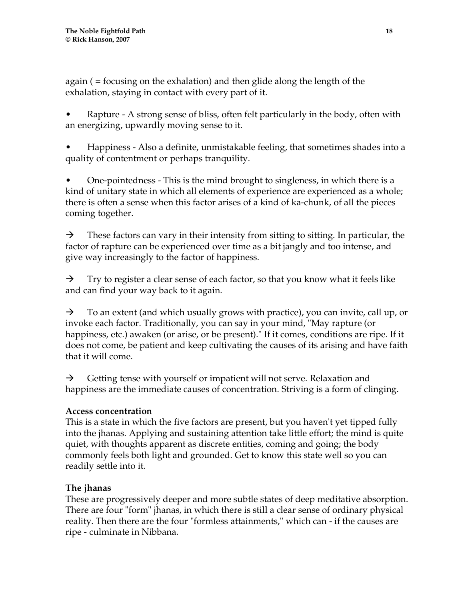again ( = focusing on the exhalation) and then glide along the length of the exhalation, staying in contact with every part of it.

• Rapture - A strong sense of bliss, often felt particularly in the body, often with an energizing, upwardly moving sense to it.

• Happiness - Also a definite, unmistakable feeling, that sometimes shades into a quality of contentment or perhaps tranquility.

• One-pointedness - This is the mind brought to singleness, in which there is a kind of unitary state in which all elements of experience are experienced as a whole; there is often a sense when this factor arises of a kind of ka-chunk, of all the pieces coming together.

 $\rightarrow$  These factors can vary in their intensity from sitting to sitting. In particular, the factor of rapture can be experienced over time as a bit jangly and too intense, and give way increasingly to the factor of happiness.

 $\rightarrow$  Try to register a clear sense of each factor, so that you know what it feels like and can find your way back to it again.

 $\rightarrow$  To an extent (and which usually grows with practice), you can invite, call up, or invoke each factor. Traditionally, you can say in your mind, "May rapture (or happiness, etc.) awaken (or arise, or be present)." If it comes, conditions are ripe. If it does not come, be patient and keep cultivating the causes of its arising and have faith that it will come.

 $\rightarrow$  Getting tense with yourself or impatient will not serve. Relaxation and happiness are the immediate causes of concentration. Striving is a form of clinging.

## **Access concentration**

This is a state in which the five factors are present, but you haven't yet tipped fully into the jhanas. Applying and sustaining attention take little effort; the mind is quite quiet, with thoughts apparent as discrete entities, coming and going; the body commonly feels both light and grounded. Get to know this state well so you can readily settle into it.

## **The jhanas**

These are progressively deeper and more subtle states of deep meditative absorption. There are four "form" jhanas, in which there is still a clear sense of ordinary physical reality. Then there are the four "formless attainments," which can - if the causes are ripe - culminate in Nibbana.